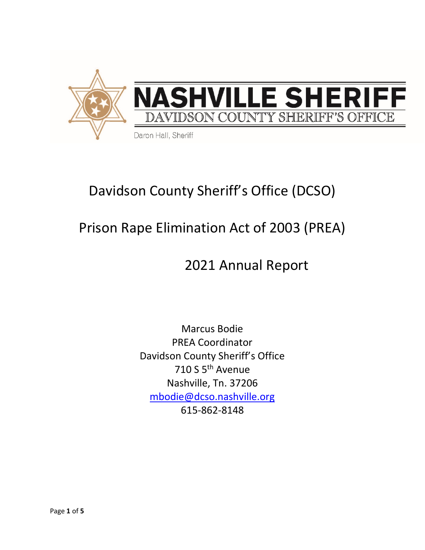

# Davidson County Sheriff's Office (DCSO)

# Prison Rape Elimination Act of 2003 (PREA)

## 2021 Annual Report

Marcus Bodie PREA Coordinator Davidson County Sheriff's Office 710 S 5th Avenue Nashville, Tn. 37206 [mbodie@dcso.nashville.org](mailto:mbodie@dcso.nashville.org) 615-862-8148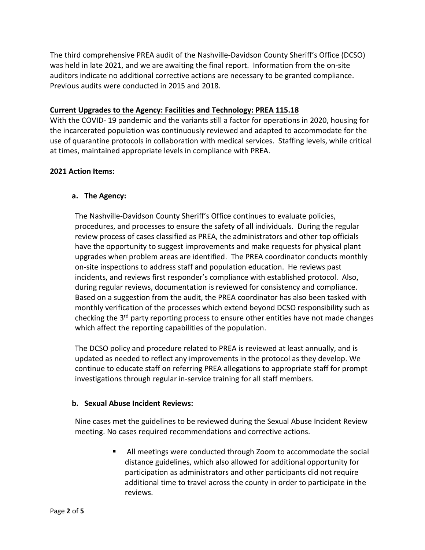The third comprehensive PREA audit of the Nashville-Davidson County Sheriff's Office (DCSO) was held in late 2021, and we are awaiting the final report. Information from the on-site auditors indicate no additional corrective actions are necessary to be granted compliance. Previous audits were conducted in 2015 and 2018.

#### **Current Upgrades to the Agency: Facilities and Technology: PREA 115.18**

With the COVID- 19 pandemic and the variants still a factor for operations in 2020, housing for the incarcerated population was continuously reviewed and adapted to accommodate for the use of quarantine protocols in collaboration with medical services. Staffing levels, while critical at times, maintained appropriate levels in compliance with PREA.

### **2021 Action Items:**

### **a. The Agency:**

The Nashville-Davidson County Sheriff's Office continues to evaluate policies, procedures, and processes to ensure the safety of all individuals. During the regular review process of cases classified as PREA, the administrators and other top officials have the opportunity to suggest improvements and make requests for physical plant upgrades when problem areas are identified. The PREA coordinator conducts monthly on-site inspections to address staff and population education. He reviews past incidents, and reviews first responder's compliance with established protocol. Also, during regular reviews, documentation is reviewed for consistency and compliance. Based on a suggestion from the audit, the PREA coordinator has also been tasked with monthly verification of the processes which extend beyond DCSO responsibility such as checking the 3<sup>rd</sup> party reporting process to ensure other entities have not made changes which affect the reporting capabilities of the population.

The DCSO policy and procedure related to PREA is reviewed at least annually, and is updated as needed to reflect any improvements in the protocol as they develop. We continue to educate staff on referring PREA allegations to appropriate staff for prompt investigations through regular in-service training for all staff members.

#### **b. Sexual Abuse Incident Reviews:**

Nine cases met the guidelines to be reviewed during the Sexual Abuse Incident Review meeting. No cases required recommendations and corrective actions.

> All meetings were conducted through Zoom to accommodate the social distance guidelines, which also allowed for additional opportunity for participation as administrators and other participants did not require additional time to travel across the county in order to participate in the reviews.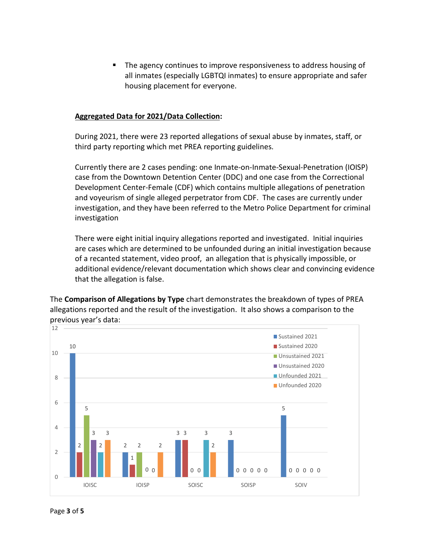The agency continues to improve responsiveness to address housing of all inmates (especially LGBTQI inmates) to ensure appropriate and safer housing placement for everyone.

#### **Aggregated Data for 2021/Data Collection:**

During 2021, there were 23 reported allegations of sexual abuse by inmates, staff, or third party reporting which met PREA reporting guidelines.

Currently there are 2 cases pending: one Inmate-on-Inmate-Sexual-Penetration (IOISP) case from the Downtown Detention Center (DDC) and one case from the Correctional Development Center-Female (CDF) which contains multiple allegations of penetration and voyeurism of single alleged perpetrator from CDF. The cases are currently under investigation, and they have been referred to the Metro Police Department for criminal investigation

There were eight initial inquiry allegations reported and investigated. Initial inquiries are cases which are determined to be unfounded during an initial investigation because of a recanted statement, video proof, an allegation that is physically impossible, or additional evidence/relevant documentation which shows clear and convincing evidence that the allegation is false.

The **Comparison of Allegations by Type** chart demonstrates the breakdown of types of PREA allegations reported and the result of the investigation. It also shows a comparison to the previous year's data:

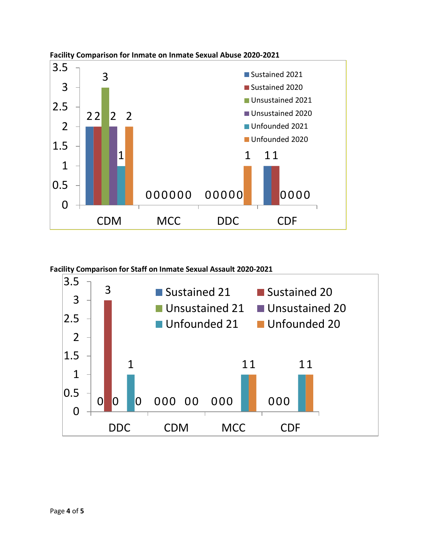

**Facility Comparison for Inmate on Inmate Sexual Abuse 2020-2021**

**Facility Comparison for Staff on Inmate Sexual Assault 2020-2021**